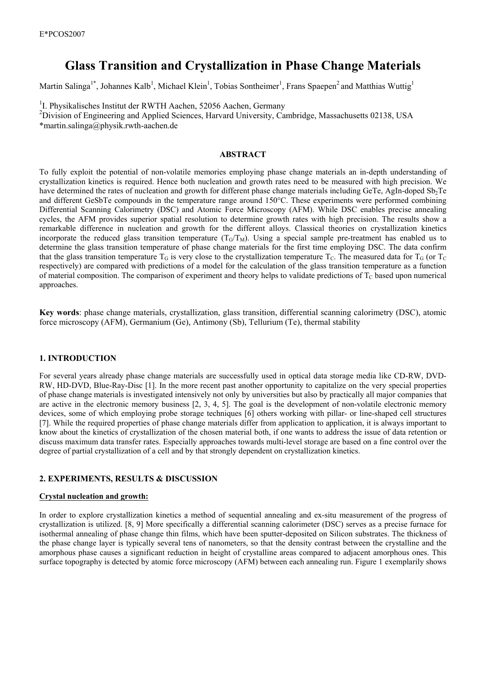# **Glass Transition and Crystallization in Phase Change Materials**

Martin Salinga<sup>1\*</sup>, Johannes Kalb<sup>1</sup>, Michael Klein<sup>1</sup>, Tobias Sontheimer<sup>1</sup>, Frans Spaepen<sup>2</sup> and Matthias Wuttig<sup>1</sup>

<sup>1</sup>I. Physikalisches Institut der RWTH Aachen, 52056 Aachen, Germany

<sup>2</sup>Division of Engineering and Applied Sciences, Harvard University, Cambridge, Massachusetts 02138, USA \*martin.salinga@physik.rwth-aachen.de

## **ABSTRACT**

To fully exploit the potential of non-volatile memories employing phase change materials an in-depth understanding of crystallization kinetics is required. Hence both nucleation and growth rates need to be measured with high precision. We have determined the rates of nucleation and growth for different phase change materials including GeTe, AgIn-doped Sb<sub>2</sub>Te and different GeSbTe compounds in the temperature range around 150°C. These experiments were performed combining Differential Scanning Calorimetry (DSC) and Atomic Force Microscopy (AFM). While DSC enables precise annealing cycles, the AFM provides superior spatial resolution to determine growth rates with high precision. The results show a remarkable difference in nucleation and growth for the different alloys. Classical theories on crystallization kinetics incorporate the reduced glass transition temperature  $(T_G/T_M)$ . Using a special sample pre-treatment has enabled us to determine the glass transition temperature of phase change materials for the first time employing DSC. The data confirm that the glass transition temperature  $T_G$  is very close to the crystallization temperature  $T_G$ . The measured data for  $T_G$  (or  $T_G$ respectively) are compared with predictions of a model for the calculation of the glass transition temperature as a function of material composition. The comparison of experiment and theory helps to validate predictions of  $T_c$  based upon numerical approaches.

**Key words**: phase change materials, crystallization, glass transition, differential scanning calorimetry (DSC), atomic force microscopy (AFM), Germanium (Ge), Antimony (Sb), Tellurium (Te), thermal stability

## **1. INTRODUCTION**

For several years already phase change materials are successfully used in optical data storage media like CD-RW, DVD-RW, HD-DVD, Blue-Ray-Disc [1]. In the more recent past another opportunity to capitalize on the very special properties of phase change materials is investigated intensively not only by universities but also by practically all major companies that are active in the electronic memory business  $[2, 3, 4, 5]$ . The goal is the development of non-volatile electronic memory devices, some of which employing probe storage techniques [6] others working with pillar- or line-shaped cell structures [7]. While the required properties of phase change materials differ from application to application, it is always important to know about the kinetics of crystallization of the chosen material both, if one wants to address the issue of data retention or discuss maximum data transfer rates. Especially approaches towards multi-level storage are based on a fine control over the degree of partial crystallization of a cell and by that strongly dependent on crystallization kinetics.

## **2. EXPERIMENTS, RESULTS & DISCUSSION**

#### **Crystal nucleation and growth:**

In order to explore crystallization kinetics a method of sequential annealing and ex-situ measurement of the progress of crystallization is utilized. [8, 9] More specifically a differential scanning calorimeter (DSC) serves as a precise furnace for isothermal annealing of phase change thin films, which have been sputter-deposited on Silicon substrates. The thickness of the phase change layer is typically several tens of nanometers, so that the density contrast between the crystalline and the amorphous phase causes a significant reduction in height of crystalline areas compared to adjacent amorphous ones. This surface topography is detected by atomic force microscopy (AFM) between each annealing run. Figure 1 exemplarily shows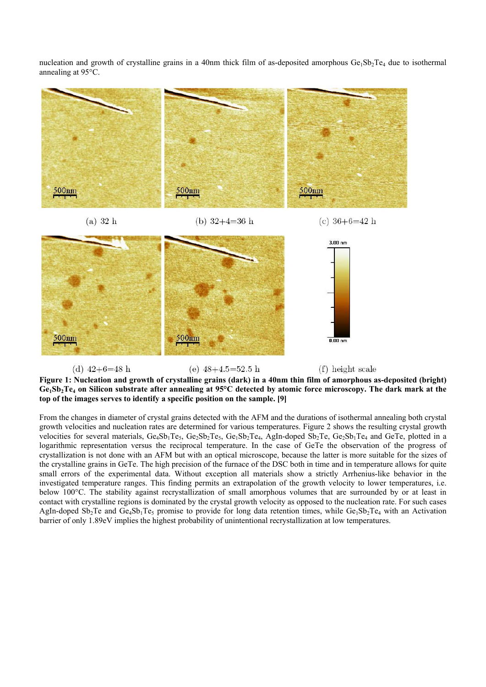nucleation and growth of crystalline grains in a 40nm thick film of as-deposited amorphous  $Ge_1Sb_2Te_4$  due to isothermal annealing at 95°C.



**Figure 1: Nucleation and growth of crystalline grains (dark) in a 40nm thin film of amorphous as-deposited (bright)**  Ge<sub>1</sub>Sb<sub>2</sub>Te<sub>4</sub> on Silicon substrate after annealing at 95°C detected by atomic force microscopy. The dark mark at the **top of the images serves to identify a specific position on the sample. [9]** 

From the changes in diameter of crystal grains detected with the AFM and the durations of isothermal annealing both crystal growth velocities and nucleation rates are determined for various temperatures. Figure 2 shows the resulting crystal growth velocities for several materials,  $Ge_4Sb_1Te_5$ ,  $Ge_2Sb_2Te_5$ ,  $Ge_1Sb_2Te_4$ , AgIn-doped  $Sb_2Te_5$ ,  $Ge_2Sb_1Te_4$  and  $GeTe_5$  plotted in a logarithmic representation versus the reciprocal temperature. In the case of GeTe the observation of the progress of crystallization is not done with an AFM but with an optical microscope, because the latter is more suitable for the sizes of the crystalline grains in GeTe. The high precision of the furnace of the DSC both in time and in temperature allows for quite small errors of the experimental data. Without exception all materials show a strictly Arrhenius-like behavior in the investigated temperature ranges. This finding permits an extrapolation of the growth velocity to lower temperatures, i.e. below 100°C. The stability against recrystallization of small amorphous volumes that are surrounded by or at least in contact with crystalline regions is dominated by the crystal growth velocity as opposed to the nucleation rate. For such cases AgIn-doped  $Sb_2Te$  and  $Ge_4Sb_1Te_5$  promise to provide for long data retention times, while  $Ge_1Sb_2Te_4$  with an Activation barrier of only 1.89eV implies the highest probability of unintentional recrystallization at low temperatures.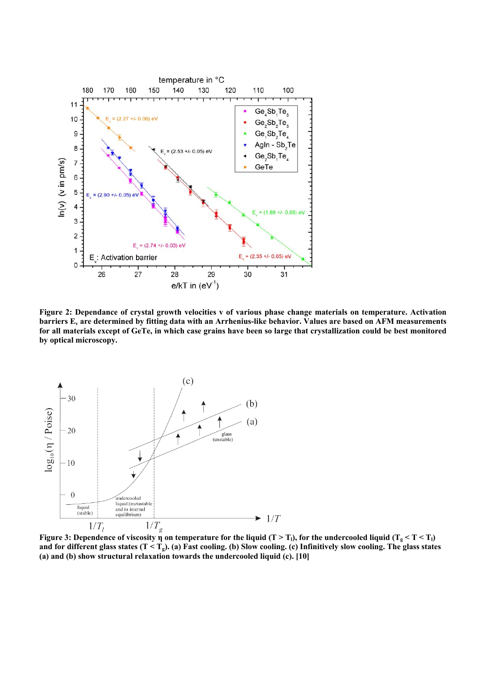

**Figure 2: Dependance of crystal growth velocities v of various phase change materials on temperature. Activation barriers Ev are determined by fitting data with an Arrhenius-like behavior. Values are based on AFM measurements for all materials except of GeTe, in which case grains have been so large that crystallization could be best monitored by optical microscopy.** 



**Figure 3: Dependence of viscosity**  $\eta$  **on temperature for the liquid (T > T<sub>1</sub>), for the undercooled liquid (T<sub>g</sub> < T < T<sub>1</sub>) and for different glass states (T < Tg). (a) Fast cooling. (b) Slow cooling. (c) Infinitively slow cooling. The glass states (a) and (b) show structural relaxation towards the undercooled liquid (c). [10]**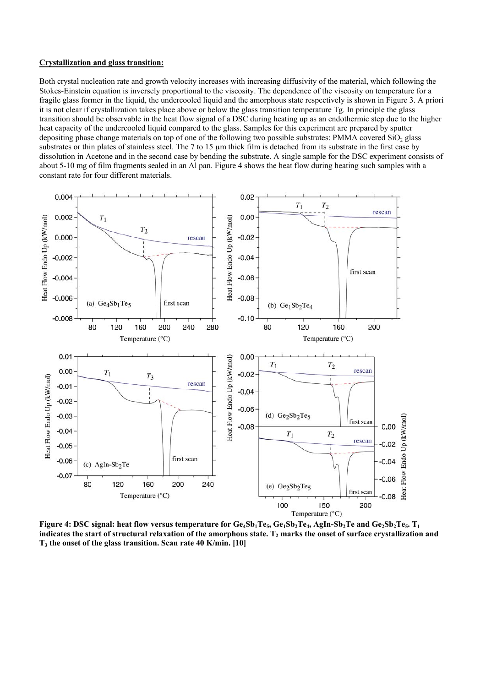### **Crystallization and glass transition:**

Both crystal nucleation rate and growth velocity increases with increasing diffusivity of the material, which following the Stokes-Einstein equation is inversely proportional to the viscosity. The dependence of the viscosity on temperature for a fragile glass former in the liquid, the undercooled liquid and the amorphous state respectively is shown in Figure 3. A priori it is not clear if crystallization takes place above or below the glass transition temperature Tg. In principle the glass transition should be observable in the heat flow signal of a DSC during heating up as an endothermic step due to the higher heat capacity of the undercooled liquid compared to the glass. Samples for this experiment are prepared by sputter depositing phase change materials on top of one of the following two possible substrates: PMMA covered SiO<sub>2</sub> glass substrates or thin plates of stainless steel. The 7 to 15 µm thick film is detached from its substrate in the first case by dissolution in Acetone and in the second case by bending the substrate. A single sample for the DSC experiment consists of about 5-10 mg of film fragments sealed in an Al pan. Figure 4 shows the heat flow during heating such samples with a constant rate for four different materials.



**Figure 4: DSC signal: heat flow versus temperature for Ge<sub>4</sub>Sb<sub>1</sub>Te<sub>5</sub>, Ge<sub>1</sub>Sb<sub>2</sub>Te<sub>4</sub>, AgIn-Sb<sub>2</sub>Te and Ge<sub>2</sub>Sb<sub>2</sub>Te<sub>5</sub>. T<sub>1</sub>** indicates the start of structural relaxation of the amorphous state. T<sub>2</sub> marks the onset of surface crystallization and **T3 the onset of the glass transition. Scan rate 40 K/min. [10]**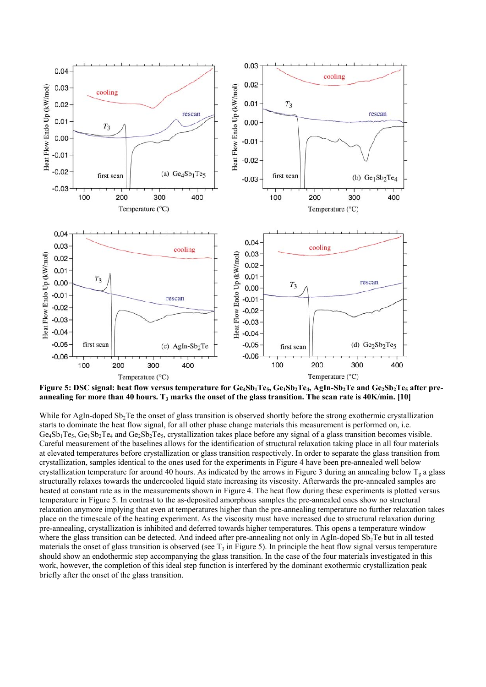

Figure 5: DSC signal: heat flow versus temperature for Ge<sub>4</sub>Sb<sub>1</sub>Te<sub>5</sub>, Ge<sub>1</sub>Sb<sub>2</sub>Te<sub>4</sub>, AgIn-Sb<sub>2</sub>Te and Ge<sub>2</sub>Sb<sub>2</sub>Te<sub>5</sub> after preannealing for more than 40 hours. T<sub>3</sub> marks the onset of the glass transition. The scan rate is 40K/min. [10]

While for AgIn-doped  $Sb<sub>2</sub>$ Te the onset of glass transition is observed shortly before the strong exothermic crystallization starts to dominate the heat flow signal, for all other phase change materials this measurement is performed on, i.e.  $Ge_4Sb_1Te_5$ ,  $Ge_1Sb_2Te_4$  and  $Ge_2Sb_2Te_5$ , crystallization takes place before any signal of a glass transition becomes visible. Careful measurement of the baselines allows for the identification of structural relaxation taking place in all four materials at elevated temperatures before crystallization or glass transition respectively. In order to separate the glass transition from crystallization, samples identical to the ones used for the experiments in Figure 4 have been pre-annealed well below crystallization temperature for around 40 hours. As indicated by the arrows in Figure 3 during an annealing below  $T_g$  a glass structurally relaxes towards the undercooled liquid state increasing its viscosity. Afterwards the pre-annealed samples are heated at constant rate as in the measurements shown in Figure 4. The heat flow during these experiments is plotted versus temperature in Figure 5. In contrast to the as-deposited amorphous samples the pre-annealed ones show no structural relaxation anymore implying that even at temperatures higher than the pre-annealing temperature no further relaxation takes place on the timescale of the heating experiment. As the viscosity must have increased due to structural relaxation during pre-annealing, crystallization is inhibited and deferred towards higher temperatures. This opens a temperature window where the glass transition can be detected. And indeed after pre-annealing not only in AgIn-doped  $Sb<sub>2</sub>Te$  but in all tested materials the onset of glass transition is observed (see  $T_3$  in Figure 5). In principle the heat flow signal versus temperature should show an endothermic step accompanying the glass transition. In the case of the four materials investigated in this work, however, the completion of this ideal step function is interfered by the dominant exothermic crystallization peak briefly after the onset of the glass transition.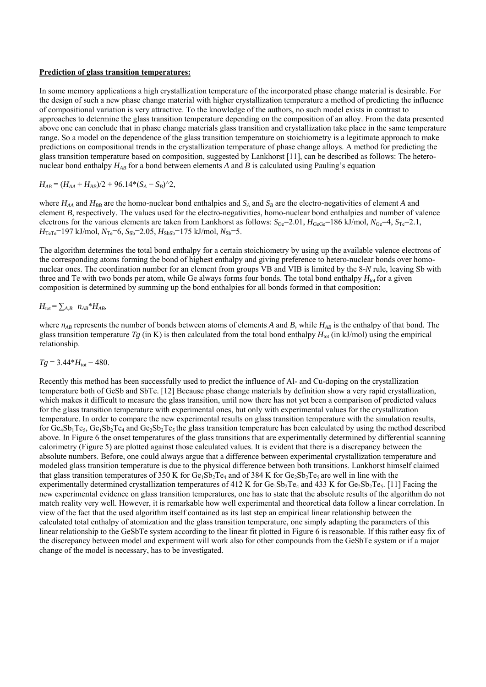#### **Prediction of glass transition temperatures:**

In some memory applications a high crystallization temperature of the incorporated phase change material is desirable. For the design of such a new phase change material with higher crystallization temperature a method of predicting the influence of compositional variation is very attractive. To the knowledge of the authors, no such model exists in contrast to approaches to determine the glass transition temperature depending on the composition of an alloy. From the data presented above one can conclude that in phase change materials glass transition and crystallization take place in the same temperature range. So a model on the dependence of the glass transition temperature on stoichiometry is a legitimate approach to make predictions on compositional trends in the crystallization temperature of phase change alloys. A method for predicting the glass transition temperature based on composition, suggested by Lankhorst [11], can be described as follows: The heteronuclear bond enthalpy  $H_{AB}$  for a bond between elements A and B is calculated using Pauling's equation

$$
H_{AB} = (H_{AA} + H_{BB})/2 + 96.14*(S_A - S_B)^2,
$$

where  $H_{AA}$  and  $H_{BB}$  are the homo-nuclear bond enthalpies and  $S_A$  and  $S_B$  are the electro-negativities of element *A* and element *B*, respectively. The values used for the electro-negativities, homo-nuclear bond enthalpies and number of valence electrons for the various elements are taken from Lankhorst as follows:  $S_{\text{Ge}}=2.01$ ,  $H_{\text{GeGe}}=186$  kJ/mol,  $N_{\text{Ge}}=4$ ,  $S_{\text{Te}}=2.1$ ,  $H_{\text{TeTe}}$ =197 kJ/mol,  $N_{\text{Te}}$ =6,  $S_{\text{Sb}}$ =2.05,  $H_{\text{SbSb}}$ =175 kJ/mol,  $N_{\text{Sb}}$ =5.

The algorithm determines the total bond enthalpy for a certain stoichiometry by using up the available valence electrons of the corresponding atoms forming the bond of highest enthalpy and giving preference to hetero-nuclear bonds over homonuclear ones. The coordination number for an element from groups VB and VIB is limited by the 8-*N* rule, leaving Sb with three and Te with two bonds per atom, while Ge always forms four bonds. The total bond enthalpy  $H_{\text{tot}}$  for a given composition is determined by summing up the bond enthalpies for all bonds formed in that composition:

$$
H_{\text{tot}} = \sum_{A,B} n_{AB}^* H_{AB},
$$

where  $n_{AB}$  represents the number of bonds between atoms of elements *A* and *B*, while  $H_{AB}$  is the enthalpy of that bond. The glass transition temperature  $Tg$  (in K) is then calculated from the total bond enthalpy  $H_{\text{tot}}$  (in kJ/mol) using the empirical relationship.

## $Tg = 3.44*H_{\text{tot}} - 480.$

Recently this method has been successfully used to predict the influence of Al- and Cu-doping on the crystallization temperature both of GeSb and SbTe. [12] Because phase change materials by definition show a very rapid crystallization, which makes it difficult to measure the glass transition, until now there has not yet been a comparison of predicted values for the glass transition temperature with experimental ones, but only with experimental values for the crystallization temperature. In order to compare the new experimental results on glass transition temperature with the simulation results, for  $Ge_4Sb_1Te_5$ ,  $Ge_1Sb_2Te_4$  and  $Ge_2Sb_2Te_5$  the glass transition temperature has been calculated by using the method described above. In Figure 6 the onset temperatures of the glass transitions that are experimentally determined by differential scanning calorimetry (Figure 5) are plotted against those calculated values. It is evident that there is a discrepancy between the absolute numbers. Before, one could always argue that a difference between experimental crystallization temperature and modeled glass transition temperature is due to the physical difference between both transitions. Lankhorst himself claimed that glass transition temperatures of 350 K for  $Ge_1Sb_2Te_4$  and of 384 K for  $Ge_2Sb_2Te_5$  are well in line with the experimentally determined crystallization temperatures of 412 K for  $Ge_1Sb_2Te_4$  and 433 K for  $Ge_2Sb_2Te_5$ . [11] Facing the new experimental evidence on glass transition temperatures, one has to state that the absolute results of the algorithm do not match reality very well. However, it is remarkable how well experimental and theoretical data follow a linear correlation. In view of the fact that the used algorithm itself contained as its last step an empirical linear relationship between the calculated total enthalpy of atomization and the glass transition temperature, one simply adapting the parameters of this linear relationship to the GeSbTe system according to the linear fit plotted in Figure 6 is reasonable. If this rather easy fix of the discrepancy between model and experiment will work also for other compounds from the GeSbTe system or if a major change of the model is necessary, has to be investigated.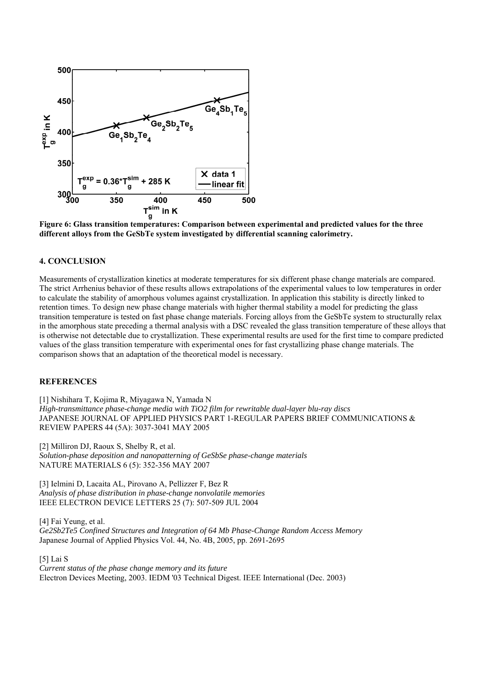

**Figure 6: Glass transition temperatures: Comparison between experimental and predicted values for the three different alloys from the GeSbTe system investigated by differential scanning calorimetry.** 

## **4. CONCLUSION**

Measurements of crystallization kinetics at moderate temperatures for six different phase change materials are compared. The strict Arrhenius behavior of these results allows extrapolations of the experimental values to low temperatures in order to calculate the stability of amorphous volumes against crystallization. In application this stability is directly linked to retention times. To design new phase change materials with higher thermal stability a model for predicting the glass transition temperature is tested on fast phase change materials. Forcing alloys from the GeSbTe system to structurally relax in the amorphous state preceding a thermal analysis with a DSC revealed the glass transition temperature of these alloys that is otherwise not detectable due to crystallization. These experimental results are used for the first time to compare predicted values of the glass transition temperature with experimental ones for fast crystallizing phase change materials. The comparison shows that an adaptation of the theoretical model is necessary.

#### **REFERENCES**

[1] Nishihara T, Kojima R, Miyagawa N, Yamada N *High-transmittance phase-change media with TiO2 film for rewritable dual-layer blu-ray discs*  JAPANESE JOURNAL OF APPLIED PHYSICS PART 1-REGULAR PAPERS BRIEF COMMUNICATIONS & REVIEW PAPERS 44 (5A): 3037-3041 MAY 2005

[2] Milliron DJ, Raoux S, Shelby R, et al. *Solution-phase deposition and nanopatterning of GeSbSe phase-change materials*  NATURE MATERIALS 6 (5): 352-356 MAY 2007

[3] Ielmini D, Lacaita AL, Pirovano A, Pellizzer F, Bez R *Analysis of phase distribution in phase-change nonvolatile memories*  IEEE ELECTRON DEVICE LETTERS 25 (7): 507-509 JUL 2004

[4] Fai Yeung, et al. *Ge2Sb2Te5 Confined Structures and Integration of 64 Mb Phase-Change Random Access Memory*  Japanese Journal of Applied Physics Vol. 44, No. 4B, 2005, pp. 2691-2695

[5] Lai S *Current status of the phase change memory and its future*  Electron Devices Meeting, 2003. IEDM '03 Technical Digest. IEEE International (Dec. 2003)